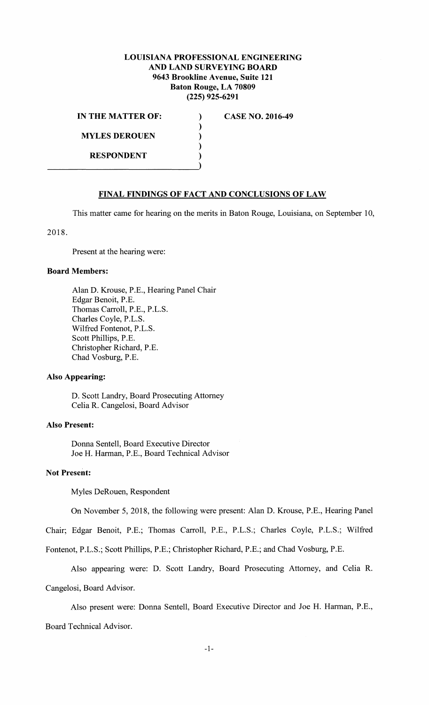# **LOUISIANA PROFESSIONAL ENGINEERING AND LAND SURVEYING BOARD 9643 Brookline Avenue, Suite 121 Baton Rouge, LA 70809 (225) 925-6291**

) ) ) ) )

**IN THE MATTER OF: MYLES DEROUEN RESPONDENT** 

**CASE NO. 2016-49** 

# **FINAL FINDINGS OF FACT AND CONCLUSIONS OF LAW**

This matter came for hearing on the merits in Baton Rouge, Louisiana, on September 10,

2018.

Present at the hearing were:

### **Board Members:**

Alan D. Krouse, P.E., Hearing Panel Chair Edgar Benoit, P.E. Thomas Carroll, P.E., P.L.S. Charles Coyle, P.L.S. Wilfred Fontenot, P.L.S. Scott Phillips, P.E. Christopher Richard, P.E. Chad Vosburg, P.E.

### **Also Appearing:**

D. Scott Landry, Board Prosecuting Attorney Celia R. Cangelosi, Board Advisor

### **Also Present:**

Donna Sentell, Board Executive Director Joe H. Harman, P.E., Board Technical Advisor

### **Not Present:**

Myles DeRouen, Respondent

On November 5, 2018, the following were present: Alan D. Krouse, P.E., Hearing Panel

Chair; Edgar Benoit, P.E.; Thomas Carroll, P.E., P.L.S.; Charles Coyle, P.L.S.; Wilfred

Fontenot, P.L.S.; Scott Phillips, P.E.; Christopher Richard, P.E.; and Chad Vosburg, P.E.

Also appearing were: D. Scott Landry, Board Prosecuting Attorney, and Celia R. Cangelosi, Board Advisor.

Also present were: Donna Sentell, Board Executive Director and Joe H. Harman, P.E.,

Board Technical Advisor.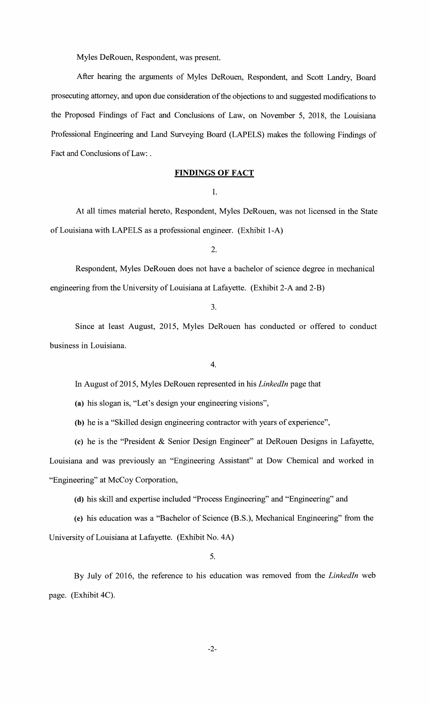Myles DeRouen, Respondent, was present.

After hearing the arguments of Myles DeRouen, Respondent, and Scott Landry, Board prosecuting attorney, and upon due consideration of the objections to and suggested modifications to the Proposed Findings of Fact and Conclusions of Law, on November 5, 2018, the Louisiana Professional Engineering and Land Surveying Board (LAPELS) makes the following Findings of Fact and Conclusions of Law: .

### **FINDINGS OF FACT**

1.

At all times material hereto, Respondent, Myles DeRouen, was not licensed in the State of Louisiana with LAPELS as a professional engineer. (Exhibit 1-A)

2.

Respondent, Myles DeRouen does not have a bachelor of science degree in mechanical engineering from the University of Louisiana at Lafayette. (Exhibit 2-A and 2-B)

### 3.

Since at least August, 2015, Myles DeRouen has conducted or offered to conduct business in Louisiana.

#### 4.

In August of 2015, Myles DeRouen represented in his *Linkedln* page that

**(a)** his slogan is, "Let's design your engineering visions",

**(b)** he is a "Skilled design engineering contractor with years of experience",

(c) he is the "President & Senior Design Engineer" at DeRouen Designs in Lafayette,

Louisiana and was previously an "Engineering Assistant" at Dow Chemical and worked in "Engineering" at McCoy Corporation,

**(d)** his skill and expertise included "Process Engineering" and "Engineering" and

(e) his education was a "Bachelor of Science (B.S.), Mechanical Engineering" from the University of Louisiana at Lafayette. (Exhibit No. 4A)

5.

By July of 2016, the reference to his education was removed from the *Linkedln* web page. (Exhibit 4C).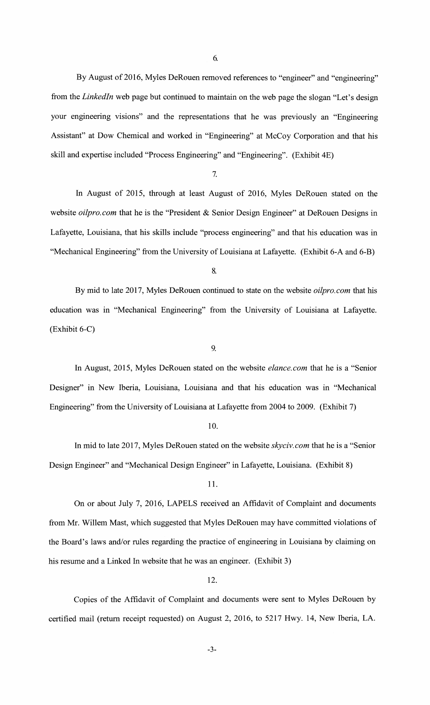6.

By August of 2016, Myles DeRouen removed references to "engineer" and "engineering" from the *Linkedln* web page but continued to maintain on the web page the slogan "Let's design your engineering visions" and the representations that he was previously an "Engineering Assistant" at Dow Chemical and worked in "Engineering" at McCoy Corporation and that his skill and expertise included "Process Engineering" and "Engineering". (Exhibit 4E)

7.

In August of 2015, through at least August of 2016, Myles DeRouen stated on the website *oilpro. com* that he is the "President & Senior Design Engineer" at DeRouen Designs in Lafayette, Louisiana, that his skills include "process engineering" and that his education was in "Mechanical Engineering" from the University of Louisiana at Lafayette. (Exhibit 6-A and 6-B)

8.

By mid to late 2017, Myles DeRouen continued to state on the website *oilpro.com* that his education was in "Mechanical Engineering" from the University of Louisiana at Lafayette. (Exhibit 6-C)

9.

In August, 2015, Myles DeRouen stated on the website *elance.com* that he is a "Senior Designer" in New Iberia, Louisiana, Louisiana and that his education was in "Mechanical Engineering" from the University of Louisiana at Lafayette from 2004 to 2009. (Exhibit 7)

### 10.

In mid to late 2017, Myles DeRouen stated on the website *skyciv.com* that he is a "Senior Design Engineer" and "Mechanical Design Engineer" in Lafayette, Louisiana. (Exhibit 8)

### 11.

On or about July 7, 2016, LAPELS received an Affidavit of Complaint and documents from Mr. Willem Mast, which suggested that Myles DeRouen may have committed violations of the Board's laws and/or rules regarding the practice of engineering in Louisiana by claiming on his resume and a Linked In website that he was an engineer. (Exhibit 3)

12.

Copies of the Affidavit of Complaint and documents were sent to Myles DeRouen by certified mail (return receipt requested) on August 2, 2016, to 5217 Hwy. 14, New Iberia, LA.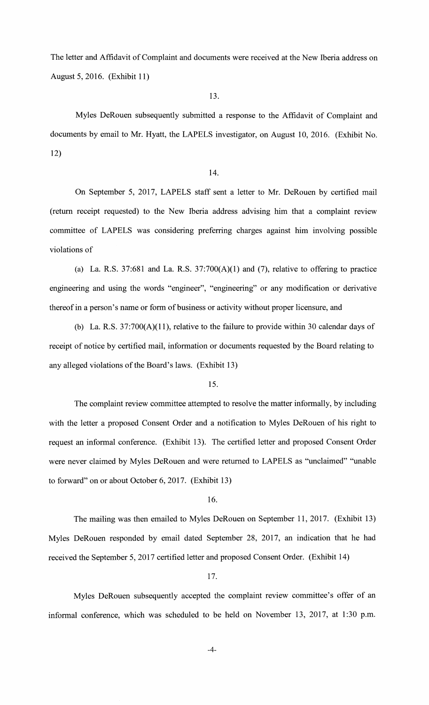The letter and Affidavit of Complaint and documents were received at the New Iberia address on August 5, 2016. (Exhibit 11)

# 13.

Myles DeRouen subsequently submitted a response to the Affidavit of Complaint and documents by email to Mr. Hyatt, the LAPELS investigator, on August 10, 2016. (Exhibit No. 12)

### 14.

On September 5, 2017, LAPELS staff sent a letter to Mr. DeRouen by certified mail (return receipt requested) to the New Iberia address advising him that a complaint review committee of LAPELS was considering preferring charges against him involving possible violations of

(a) La. R.S. 37:681 and La. R.S. 37:700 $(A)(1)$  and  $(7)$ , relative to offering to practice engineering and using the words "engineer", "engineering" or any modification or derivative thereof in a person's name or form of business or activity without proper licensure, and

(b) La. R.S.  $37:700(A)(11)$ , relative to the failure to provide within 30 calendar days of receipt of notice by certified mail, information or documents requested by the Board relating to any alleged violations of the Board's laws. (Exhibit 13)

### 15.

The complaint review committee attempted to resolve the matter informally, by including with the letter a proposed Consent Order and a notification to Myles DeRouen of his right to request an informal conference. (Exhibit 13). The certified letter and proposed Consent Order were never claimed by Myles DeRouen and were returned to LAPELS as "unclaimed" ''unable to forward" on or about October 6, 2017. (Exhibit 13)

#### 16.

The mailing was then emailed to Myles DeRouen on September 11, 2017. (Exhibit 13) Myles DeRouen responded by email dated September 28, 2017, an indication that he had received the September 5, 2017 certified letter and proposed Consent Order. (Exhibit 14)

17.

Myles DeRouen subsequently accepted the complaint review committee's offer of an informal conference, which was scheduled to be held on November 13, 2017, at 1:30 p.m.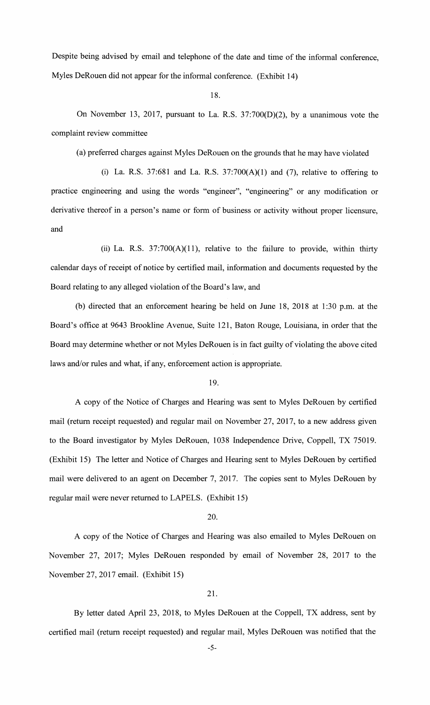Despite being advised by email and telephone of the date and time of the informal conference, Myles DeRouen did not appear for the informal conference. (Exhibit 14)

18.

On November 13, 2017, pursuant to La. R.S. 37:700(D)(2), by a unanimous vote the complaint review committee

(a) preferred charges against Myles DeRouen on the grounds that he may have violated

(i) La. R.S. 37:681 and La. R.S.  $37:700(A)(1)$  and (7), relative to offering to practice engineering and using the words "engineer", "engineering" or any modification or derivative thereof in a person's name or form of business or activity without proper licensure, and

(ii) La. R.S.  $37:700(A)(11)$ , relative to the failure to provide, within thirty calendar days of receipt of notice by certified mail, information and documents requested by the Board relating to any alleged violation of the Board's law, and

(b) directed that an enforcement hearing be held on June 18, 2018 at 1:30 p.m. at the Board's office at 9643 Brookline Avenue, Suite 121, Baton Rouge, Louisiana, in order that the Board may determine whether or not Myles DeRouen is in fact guilty of violating the above cited laws and/or rules and what, if any, enforcement action is appropriate.

19.

A copy of the Notice of Charges and Hearing was sent to Myles DeRouen by certified mail (return receipt requested) and regular mail on November 27, 2017, to a new address given to the Board investigator by Myles DeRouen, 1038 Independence Drive, Coppell, TX 75019. (Exhibit 15) The letter and Notice of Charges and Hearing sent to Myles DeRouen by certified mail were delivered to an agent on December 7, 2017. The copies sent to Myles DeRouen by regular mail were never returned to LAPELS. (Exhibit 15)

20.

A copy of the Notice of Charges and Hearing was also emailed to Myles DeRouen on November 27, 2017; Myles DeRouen responded by email of November 28, 2017 to the November 27, 2017 email. (Exhibit 15)

21.

By letter dated April 23, 2018, to Myles DeRouen at the Coppell, TX address, sent by certified mail (return receipt requested) and regular mail, Myles DeRouen was notified that the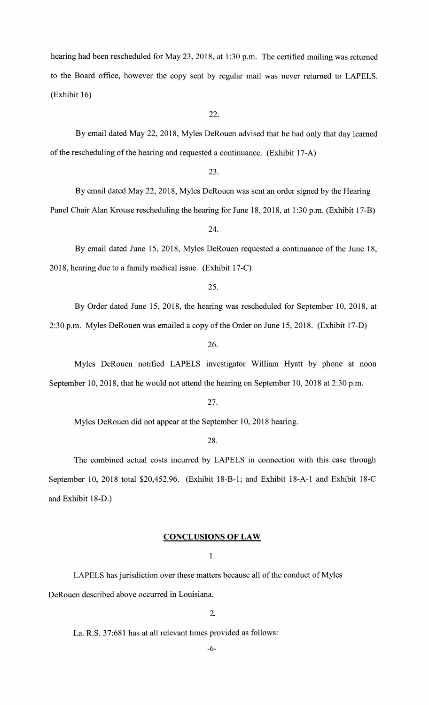hearing had been rescheduled for May 23, 2018, at 1:30 p.m. The certified mailing was returned to the Board office, however the copy sent by regular mail was never returned to LAPELS. (Exhibit 16)

22.

By email dated May 22, 2018, Myles DeRouen advised that he had only that day learned of the rescheduling of the hearing and requested a continuance. (Exhibit 17-A)

23.

By email dated May 22, 2018, Myles DeRouen was sent an order signed by the Hearing

Panel Chair Alan Krouse rescheduling the hearing for June 18, 2018, at 1 :30 p.m. (Exhibit 17-B)

24.

By email dated June 15, 2018, Myles DeRouen requested a continuance of the June 18, 2018, hearing due to a family medical issue. (Exhibit 17-C)

By Order dated June 15, 2018, the hearing was rescheduled for September 10, 2018, at 2:30 p.m. Myles DeRouen was emailed a copy of the Order on June 15, 2018. (Exhibit 17-D)

26.

Myles DeRouen notified LAPELS investigator William Hyatt by phone at noon September 10, 2018, that he would not attend the hearing on September 10, 2018 at 2:30 p.m.

27.

Myles DeRouen did not appear at the September 10, 2018 hearing.

28.

The combined actual costs incurred by LAPELS in connection with this case through September 10, 2018 total \$20,452.96. (Exhibit 18-B-1; and Exhibit 18-A-1 and Exhibit 18-C and Exhibit 18-D.)

# **CONCLUSIONS OF LAW**

1.

LAPELS has jurisdiction over these matters because all of the conduct of Myles DeRouen described above occurred in Louisiana.

2

La. **R.S.** 37:681 has at all relevant times provided as follows:

-6-

<sup>25.</sup>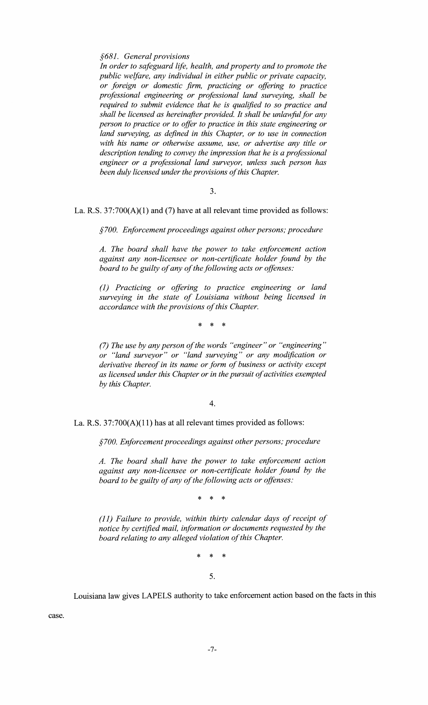*§681. General provisions* 

*In order to safeguard life, health, and property and to promote the public welfare, any individual in either public or private capacity, or foreign or domestic firm, practicing or offering to practice professional engineering or professional land surveying, shall be required to submit evidence that he is qualified to so practice and shall be licensed as hereinafter provided. It shall be unlawful for any person to practice or to offer to practice in this state engineering or*  land surveying, as defined in this Chapter, or to use in connection *with his name or otherwise assume, use, or advertise any title or description tending to convey the impression that he is a professional engineer or a professional land surveyor, unless such person has been duly licensed under the provisions of this Chapter.* 

3.

La. R.S.  $37:700(A)(1)$  and (7) have at all relevant time provided as follows:

*§700. Enforcement proceedings against other persons; procedure* 

*A. The board shall have the power to take enforcement action against any non-licensee or non-certificate holder found by the board to be guilty of any of the following acts or offenses:* 

*(1) Practicing or offering to practice engineering or land surveying in the state of Louisiana without being licensed in accordance with the provisions of this Chapter.* 

\* \* \*

*(7) The use by any person of the words "engineer" or "engineering" or "land surveyor" or "land surveying" or any modification or derivative thereof in its name or form of business or activity except as licensed under this Chapter or in the pursuit of activities exempted by this Chapter.* 

4.

La. R.S. 37:700(A)(11) has at all relevant times provided as follows:

*§700. Enforcement proceedings against other persons; procedure* 

*A. The board shall have the power to take enforcement action against any non-licensee or non-certificate holder found by the board to be guilty of any of the following acts or offenses:* 

\* \* \*

*(11) Failure to provide, within thirty calendar days of receipt of notice by certified mail, information or documents requested by the board relating to any alleged violation of this Chapter.* 

 $\ast$ 

5.

Louisiana law gives LAPELS authority to take enforcement action based on the facts in this

case.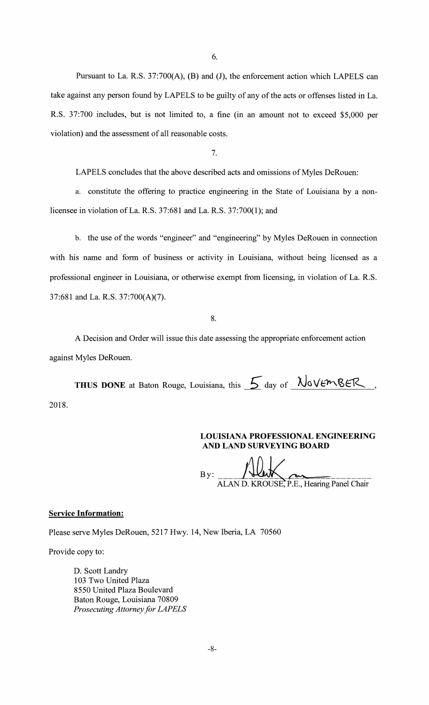6.

Pursuant to La. R.S. 37:700(A), **(B)** and (J), the enforcement action which LAPELS can take against any person found by LAPELS to be guilty of any of the acts or offenses listed in La. R.S. 37:700 includes, but is not limited to, a fine (in an amount not to exceed \$5,000 per violation) and the assessment of all reasonable costs.

7.

LAPELS concludes that the above described acts and omissions of Myles DeRouen:

a. constitute the offering to practice engineering in the State of Louisiana by a nonlicensee in violation of La. R.S. 37:681 and La. R.S. 37:700(1); and

b. the use of the words "engineer" and "engineering" by Myles DeRouen in connection with his name and form of business or activity in Louisiana, without being licensed as a professional engineer in Louisiana, or otherwise exempt from licensing, in violation of La. R.S. 37:681 and La. R.S. 37:700(A)(7).

8.

A Decision and Order will issue this date assessing the appropriate enforcement action against Myles DeRouen.

**THUS DONE** at Baton Rouge, Louisiana, this  $\frac{1}{2}$  day of  $\frac{\lambda}{\lambda}$  VE $\lambda$ ER, 2018.

# **LOUISIANA PROFESSIONAL ENGINEERING AND LAND SURVEYING BOARD**

By: **ALAN D. KROUSE, P.E., Hearing Panel Chair** 

### **Service Information:**

Please serve Myles DeRouen, 5217 Hwy. 14, New Iberia, LA 70560

Provide copy to:

D. Scott Landry 103 Two United Plaza 8550 United Plaza Boulevard Baton Rouge, Louisiana 70809 *Prosecuting Attorney for LAPELS*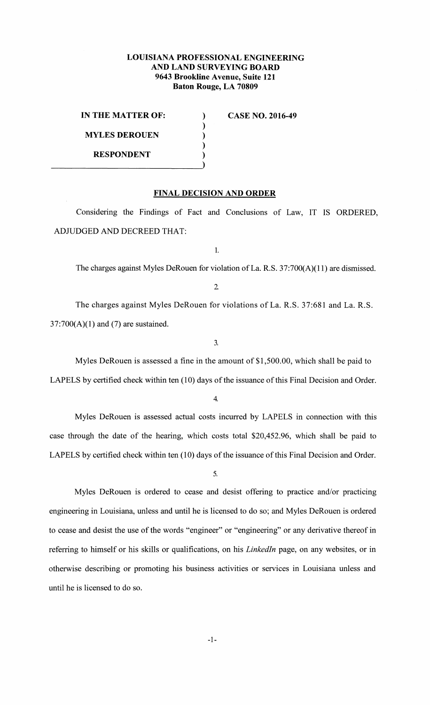# **LOUISIANA PROFESSIONAL ENGINEERING AND LAND SURVEYING BOARD 9643 Brookline Avenue, Suite 121 Baton Rouge, LA 70809**

) ) ) ) )

**IN THE MATTER OF: MYLES DEROUEN RESPONDENT** 

**CASE NO. 2016-49** 

**FINAL DECISION AND ORDER** 

Considering the Findings of Fact and Conclusions of Law, IT IS ORDERED, ADJUDGED AND DECREED THAT:

1.

The charges against Myles DeRouen for violation of La. R.S. 37:700(A)(11) are dismissed.

2

The charges against Myles DeRouen for violations of La. R.S. 37:681 and La. R.S.  $37:700(A)(1)$  and (7) are sustained.

3.

Myles DeRouen is assessed a fine in the amount of \$1,500.00, which shall be paid to

LAPELS by certified check within ten (10) days of the issuance of this Final Decision and Order.

4.

Myles DeRouen is assessed actual costs incurred by LAPELS in connection with this case through the date of the hearing, which costs total \$20,452.96, which shall be paid to LAPELS by certified check within ten (10) days of the issuance of this Final Decision and Order.

5.

Myles DeRouen is ordered to cease and desist offering to practice and/or practicing engineering in Louisiana, unless and until he is licensed to do so; and Myles DeRouen is ordered to cease and desist the use of the words "engineer" or "engineering" or any derivative thereof in referring to himself or his skills or qualifications, on his *Linkedln* page, on any websites, or in otherwise describing or promoting his business activities or services in Louisiana unless and until he is licensed to do so.

-1-